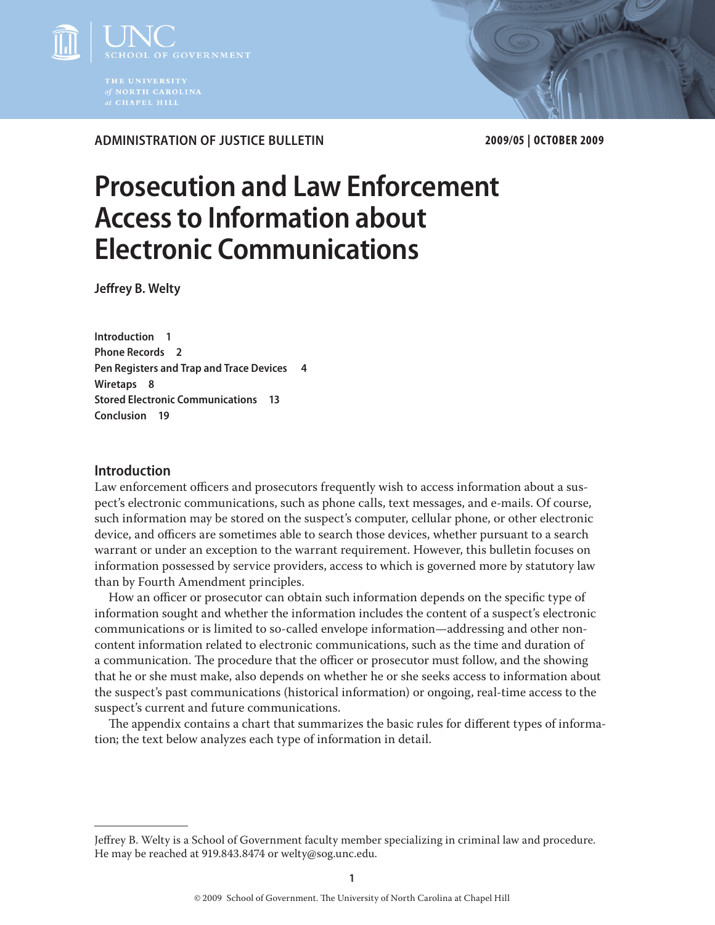

**Administration of Justice Bulletin 2009/05 | October 2009**

# **Prosecution and Law Enforcement Access to Information about Electronic Communications**

**Jeffrey B. Welty**

**Introduction 1 Phone Records 2 Pen Registers and Trap and Trace Devices 4 Wiretaps 8 Stored Electronic Communications 13 Conclusion 19**

# **Introduction**

Law enforcement officers and prosecutors frequently wish to access information about a suspect's electronic communications, such as phone calls, text messages, and e-mails. Of course, such information may be stored on the suspect's computer, cellular phone, or other electronic device, and officers are sometimes able to search those devices, whether pursuant to a search warrant or under an exception to the warrant requirement. However, this bulletin focuses on information possessed by service providers, access to which is governed more by statutory law than by Fourth Amendment principles.

How an officer or prosecutor can obtain such information depends on the specific type of information sought and whether the information includes the content of a suspect's electronic communications or is limited to so-called envelope information—addressing and other noncontent information related to electronic communications, such as the time and duration of a communication. The procedure that the officer or prosecutor must follow, and the showing that he or she must make, also depends on whether he or she seeks access to information about the suspect's past communications (historical information) or ongoing, real-time access to the suspect's current and future communications.

The appendix contains a chart that summarizes the basic rules for different types of information; the text below analyzes each type of information in detail.

Jeffrey B. Welty is a School of Government faculty member specializing in criminal law and procedure. He may be reached at 919.843.8474 or welty@sog.unc.edu.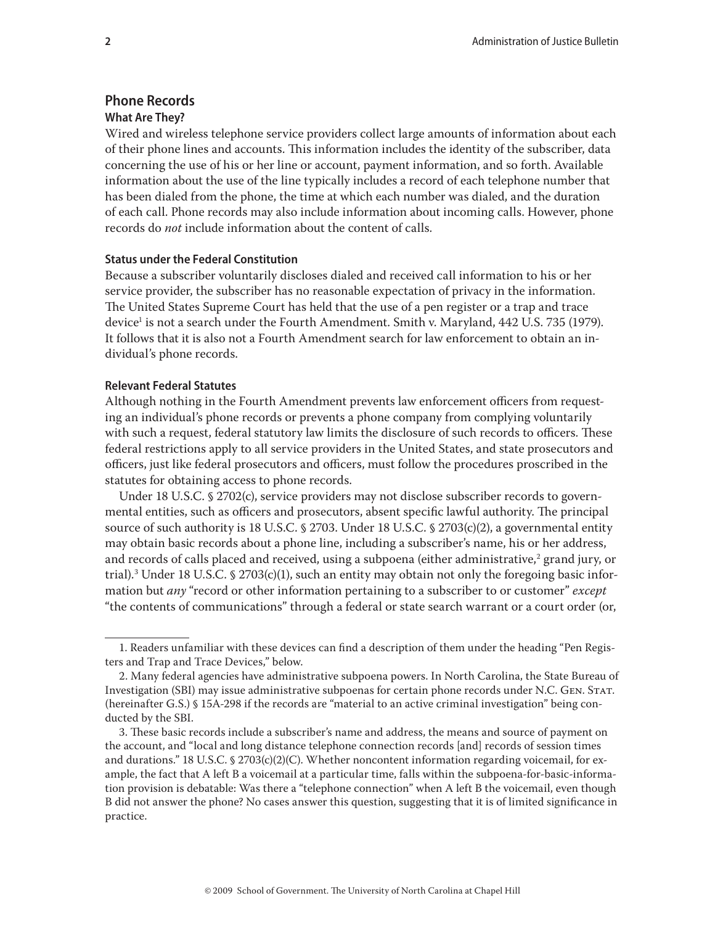# **Phone Records What Are They?**

Wired and wireless telephone service providers collect large amounts of information about each of their phone lines and accounts. This information includes the identity of the subscriber, data concerning the use of his or her line or account, payment information, and so forth. Available information about the use of the line typically includes a record of each telephone number that has been dialed from the phone, the time at which each number was dialed, and the duration of each call. Phone records may also include information about incoming calls. However, phone records do *not* include information about the content of calls.

# **Status under the Federal Constitution**

Because a subscriber voluntarily discloses dialed and received call information to his or her service provider, the subscriber has no reasonable expectation of privacy in the information. The United States Supreme Court has held that the use of a pen register or a trap and trace device<sup>1</sup> is not a search under the Fourth Amendment. Smith v. Maryland, 442 U.S. 735 (1979). It follows that it is also not a Fourth Amendment search for law enforcement to obtain an individual's phone records.

# **Relevant Federal Statutes**

Although nothing in the Fourth Amendment prevents law enforcement officers from requesting an individual's phone records or prevents a phone company from complying voluntarily with such a request, federal statutory law limits the disclosure of such records to officers. These federal restrictions apply to all service providers in the United States, and state prosecutors and officers, just like federal prosecutors and officers, must follow the procedures proscribed in the statutes for obtaining access to phone records.

Under 18 U.S.C. § 2702(c), service providers may not disclose subscriber records to governmental entities, such as officers and prosecutors, absent specific lawful authority. The principal source of such authority is 18 U.S.C. § 2703. Under 18 U.S.C. § 2703(c)(2), a governmental entity may obtain basic records about a phone line, including a subscriber's name, his or her address, and records of calls placed and received, using a subpoena (either administrative, $^{\text{2}}$  grand jury, or trial).3 Under 18 U.S.C. § 2703(c)(1), such an entity may obtain not only the foregoing basic information but *any* "record or other information pertaining to a subscriber to or customer" *except* "the contents of communications" through a federal or state search warrant or a court order (or,

<sup>1.</sup> Readers unfamiliar with these devices can find a description of them under the heading "Pen Registers and Trap and Trace Devices," below.

<sup>2.</sup> Many federal agencies have administrative subpoena powers. In North Carolina, the State Bureau of Investigation (SBI) may issue administrative subpoenas for certain phone records under N.C. Gen. Stat. (hereinafter G.S.) § 15A-298 if the records are "material to an active criminal investigation" being conducted by the SBI.

<sup>3.</sup> These basic records include a subscriber's name and address, the means and source of payment on the account, and "local and long distance telephone connection records [and] records of session times and durations." 18 U.S.C.  $\frac{1}{2703(c)(2)(C)}$ . Whether noncontent information regarding voicemail, for example, the fact that A left B a voicemail at a particular time, falls within the subpoena-for-basic-information provision is debatable: Was there a "telephone connection" when A left B the voicemail, even though B did not answer the phone? No cases answer this question, suggesting that it is of limited significance in practice.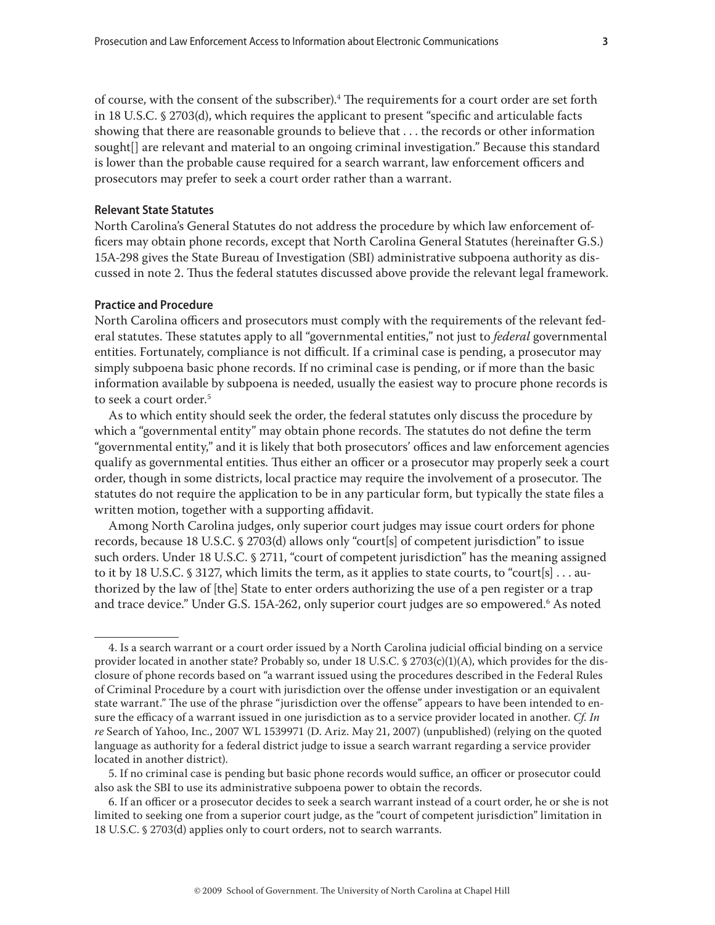of course, with the consent of the subscriber). $^4$  The requirements for a court order are set forth in 18 U.S.C. § 2703(d), which requires the applicant to present "specific and articulable facts showing that there are reasonable grounds to believe that . . . the records or other information sought[] are relevant and material to an ongoing criminal investigation." Because this standard is lower than the probable cause required for a search warrant, law enforcement officers and prosecutors may prefer to seek a court order rather than a warrant.

#### **Relevant State Statutes**

North Carolina's General Statutes do not address the procedure by which law enforcement officers may obtain phone records, except that North Carolina General Statutes (hereinafter G.S.) 15A-298 gives the State Bureau of Investigation (SBI) administrative subpoena authority as discussed in note 2. Thus the federal statutes discussed above provide the relevant legal framework.

# **Practice and Procedure**

North Carolina officers and prosecutors must comply with the requirements of the relevant federal statutes. These statutes apply to all "governmental entities," not just to *federal* governmental entities. Fortunately, compliance is not difficult. If a criminal case is pending, a prosecutor may simply subpoena basic phone records. If no criminal case is pending, or if more than the basic information available by subpoena is needed, usually the easiest way to procure phone records is to seek a court order.<sup>5</sup>

As to which entity should seek the order, the federal statutes only discuss the procedure by which a "governmental entity" may obtain phone records. The statutes do not define the term "governmental entity," and it is likely that both prosecutors' offices and law enforcement agencies qualify as governmental entities. Thus either an officer or a prosecutor may properly seek a court order, though in some districts, local practice may require the involvement of a prosecutor. The statutes do not require the application to be in any particular form, but typically the state files a written motion, together with a supporting affidavit.

Among North Carolina judges, only superior court judges may issue court orders for phone records, because 18 U.S.C. § 2703(d) allows only "court[s] of competent jurisdiction" to issue such orders. Under 18 U.S.C. § 2711, "court of competent jurisdiction" has the meaning assigned to it by 18 U.S.C. § 3127, which limits the term, as it applies to state courts, to "court[s] . . . authorized by the law of [the] State to enter orders authorizing the use of a pen register or a trap and trace device." Under G.S. 15A-262, only superior court judges are so empowered.<sup>6</sup> As noted

5. If no criminal case is pending but basic phone records would suffice, an officer or prosecutor could also ask the SBI to use its administrative subpoena power to obtain the records.

6. If an officer or a prosecutor decides to seek a search warrant instead of a court order, he or she is not limited to seeking one from a superior court judge, as the "court of competent jurisdiction" limitation in 18 U.S.C. § 2703(d) applies only to court orders, not to search warrants.

<sup>4.</sup> Is a search warrant or a court order issued by a North Carolina judicial official binding on a service provider located in another state? Probably so, under 18 U.S.C. § 2703(c)(1)(A), which provides for the disclosure of phone records based on "a warrant issued using the procedures described in the Federal Rules of Criminal Procedure by a court with jurisdiction over the offense under investigation or an equivalent state warrant." The use of the phrase "jurisdiction over the offense" appears to have been intended to ensure the efficacy of a warrant issued in one jurisdiction as to a service provider located in another. *Cf. In re* Search of Yahoo, Inc*.*, 2007 WL 1539971 (D. Ariz. May 21, 2007) (unpublished) (relying on the quoted language as authority for a federal district judge to issue a search warrant regarding a service provider located in another district).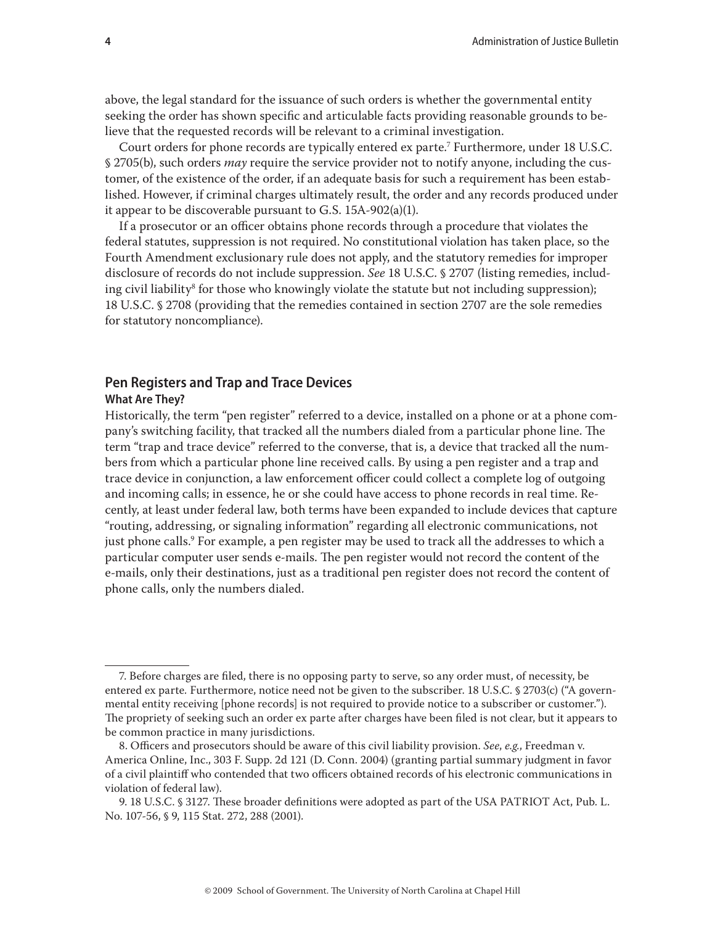above, the legal standard for the issuance of such orders is whether the governmental entity seeking the order has shown specific and articulable facts providing reasonable grounds to believe that the requested records will be relevant to a criminal investigation.

Court orders for phone records are typically entered ex parte.7 Furthermore, under 18 U.S.C. § 2705(b), such orders *may* require the service provider not to notify anyone, including the customer, of the existence of the order, if an adequate basis for such a requirement has been established. However, if criminal charges ultimately result, the order and any records produced under it appear to be discoverable pursuant to G.S. 15A-902(a)(1).

If a prosecutor or an officer obtains phone records through a procedure that violates the federal statutes, suppression is not required. No constitutional violation has taken place, so the Fourth Amendment exclusionary rule does not apply, and the statutory remedies for improper disclosure of records do not include suppression. *See* 18 U.S.C. § 2707 (listing remedies, including civil liability<sup>8</sup> for those who knowingly violate the statute but not including suppression); 18 U.S.C. § 2708 (providing that the remedies contained in section 2707 are the sole remedies for statutory noncompliance).

# **Pen Registers and Trap and Trace Devices**

# **What Are They?**

Historically, the term "pen register" referred to a device, installed on a phone or at a phone company's switching facility, that tracked all the numbers dialed from a particular phone line. The term "trap and trace device" referred to the converse, that is, a device that tracked all the numbers from which a particular phone line received calls. By using a pen register and a trap and trace device in conjunction, a law enforcement officer could collect a complete log of outgoing and incoming calls; in essence, he or she could have access to phone records in real time. Recently, at least under federal law, both terms have been expanded to include devices that capture "routing, addressing, or signaling information" regarding all electronic communications, not just phone calls.<sup>9</sup> For example, a pen register may be used to track all the addresses to which a particular computer user sends e-mails. The pen register would not record the content of the e-mails, only their destinations, just as a traditional pen register does not record the content of phone calls, only the numbers dialed.

<sup>7.</sup> Before charges are filed, there is no opposing party to serve, so any order must, of necessity, be entered ex parte*.* Furthermore, notice need not be given to the subscriber. 18 U.S.C. § 2703(c) ("A governmental entity receiving [phone records] is not required to provide notice to a subscriber or customer."). The propriety of seeking such an order ex parte after charges have been filed is not clear, but it appears to be common practice in many jurisdictions.

<sup>8.</sup> Officers and prosecutors should be aware of this civil liability provision. *See*, *e.g.*, Freedman v. America Online, Inc., 303 F. Supp. 2d 121 (D. Conn. 2004) (granting partial summary judgment in favor of a civil plaintiff who contended that two officers obtained records of his electronic communications in violation of federal law).

<sup>9. 18</sup> U.S.C. § 3127. These broader definitions were adopted as part of the USA PATRIOT Act, Pub. L. No. 107-56, § 9, 115 Stat. 272, 288 (2001).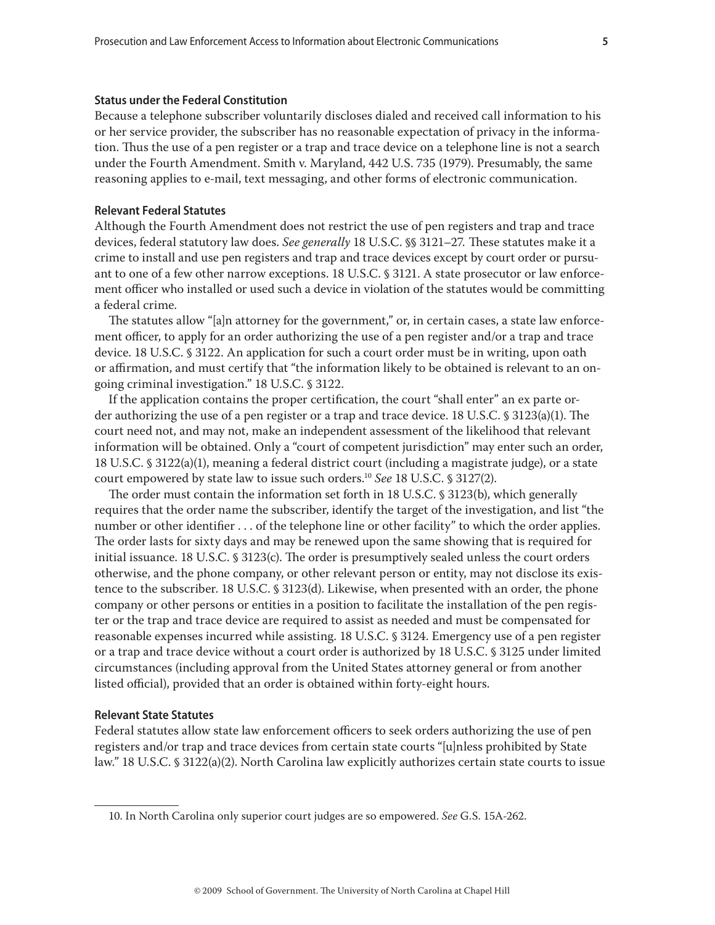#### **Status under the Federal Constitution**

Because a telephone subscriber voluntarily discloses dialed and received call information to his or her service provider, the subscriber has no reasonable expectation of privacy in the information. Thus the use of a pen register or a trap and trace device on a telephone line is not a search under the Fourth Amendment. Smith v. Maryland, 442 U.S. 735 (1979). Presumably, the same reasoning applies to e-mail, text messaging, and other forms of electronic communication.

#### **Relevant Federal Statutes**

Although the Fourth Amendment does not restrict the use of pen registers and trap and trace devices, federal statutory law does. *See generally* 18 U.S.C. §§ 3121–27*.* These statutes make it a crime to install and use pen registers and trap and trace devices except by court order or pursuant to one of a few other narrow exceptions. 18 U.S.C. § 3121. A state prosecutor or law enforcement officer who installed or used such a device in violation of the statutes would be committing a federal crime.

The statutes allow "[a]n attorney for the government," or, in certain cases, a state law enforcement officer, to apply for an order authorizing the use of a pen register and/or a trap and trace device. 18 U.S.C. § 3122. An application for such a court order must be in writing, upon oath or affirmation, and must certify that "the information likely to be obtained is relevant to an ongoing criminal investigation." 18 U.S.C. § 3122.

If the application contains the proper certification, the court "shall enter" an ex parte order authorizing the use of a pen register or a trap and trace device. 18 U.S.C. § 3123(a)(1). The court need not, and may not, make an independent assessment of the likelihood that relevant information will be obtained. Only a "court of competent jurisdiction" may enter such an order, 18 U.S.C. § 3122(a)(1), meaning a federal district court (including a magistrate judge), or a state court empowered by state law to issue such orders.10 *See* 18 U.S.C. § 3127(2).

The order must contain the information set forth in 18 U.S.C. § 3123(b), which generally requires that the order name the subscriber, identify the target of the investigation, and list "the number or other identifier ... of the telephone line or other facility" to which the order applies. The order lasts for sixty days and may be renewed upon the same showing that is required for initial issuance. 18 U.S.C. § 3123(c). The order is presumptively sealed unless the court orders otherwise, and the phone company, or other relevant person or entity, may not disclose its existence to the subscriber. 18 U.S.C. § 3123(d). Likewise, when presented with an order, the phone company or other persons or entities in a position to facilitate the installation of the pen register or the trap and trace device are required to assist as needed and must be compensated for reasonable expenses incurred while assisting. 18 U.S.C. § 3124. Emergency use of a pen register or a trap and trace device without a court order is authorized by 18 U.S.C. § 3125 under limited circumstances (including approval from the United States attorney general or from another listed official), provided that an order is obtained within forty-eight hours.

#### **Relevant State Statutes**

Federal statutes allow state law enforcement officers to seek orders authorizing the use of pen registers and/or trap and trace devices from certain state courts "[u]nless prohibited by State law." 18 U.S.C. § 3122(a)(2). North Carolina law explicitly authorizes certain state courts to issue

<sup>10.</sup> In North Carolina only superior court judges are so empowered. *See* G.S. 15A-262*.*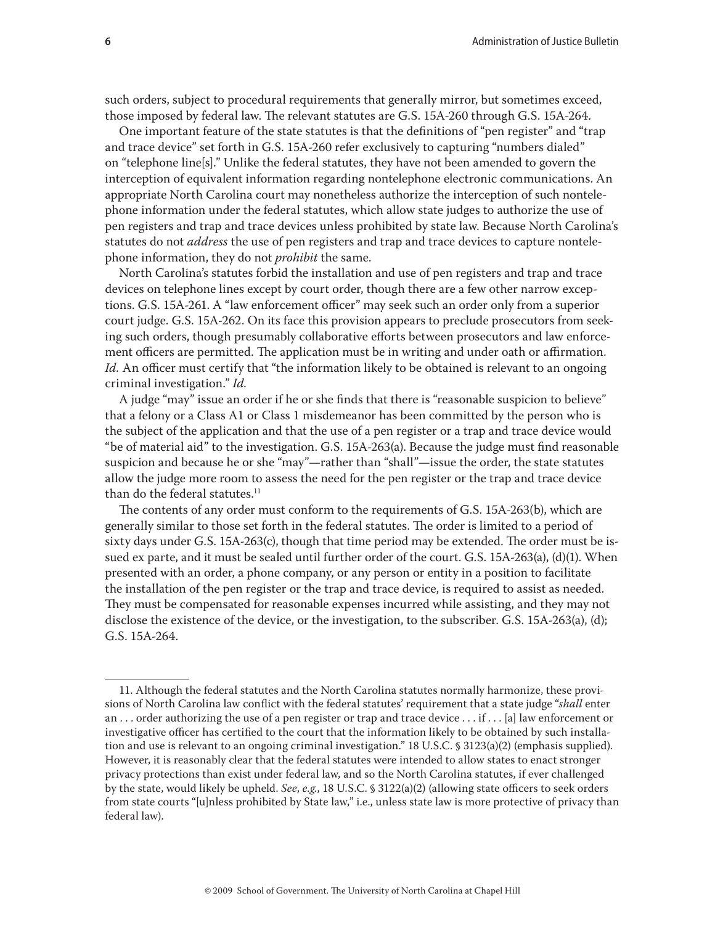such orders, subject to procedural requirements that generally mirror, but sometimes exceed, those imposed by federal law. The relevant statutes are G.S. 15A-260 through G.S. 15A-264.

One important feature of the state statutes is that the definitions of "pen register" and "trap and trace device" set forth in G.S. 15A-260 refer exclusively to capturing "numbers dialed" on "telephone line[s]." Unlike the federal statutes, they have not been amended to govern the interception of equivalent information regarding nontelephone electronic communications. An appropriate North Carolina court may nonetheless authorize the interception of such nontelephone information under the federal statutes, which allow state judges to authorize the use of pen registers and trap and trace devices unless prohibited by state law. Because North Carolina's statutes do not *address* the use of pen registers and trap and trace devices to capture nontelephone information, they do not *prohibit* the same.

North Carolina's statutes forbid the installation and use of pen registers and trap and trace devices on telephone lines except by court order, though there are a few other narrow exceptions. G.S. 15A-261. A "law enforcement officer" may seek such an order only from a superior court judge. G.S. 15A-262. On its face this provision appears to preclude prosecutors from seeking such orders, though presumably collaborative efforts between prosecutors and law enforcement officers are permitted. The application must be in writing and under oath or affirmation. *Id.* An officer must certify that "the information likely to be obtained is relevant to an ongoing criminal investigation." *Id.*

A judge "may" issue an order if he or she finds that there is "reasonable suspicion to believe" that a felony or a Class A1 or Class 1 misdemeanor has been committed by the person who is the subject of the application and that the use of a pen register or a trap and trace device would "be of material aid" to the investigation. G.S. 15A-263(a). Because the judge must find reasonable suspicion and because he or she "may"—rather than "shall"—issue the order, the state statutes allow the judge more room to assess the need for the pen register or the trap and trace device than do the federal statutes. $11$ 

The contents of any order must conform to the requirements of G.S. 15A-263(b), which are generally similar to those set forth in the federal statutes. The order is limited to a period of sixty days under G.S. 15A-263(c), though that time period may be extended. The order must be issued ex parte, and it must be sealed until further order of the court. G.S. 15A-263(a), (d)(1). When presented with an order, a phone company, or any person or entity in a position to facilitate the installation of the pen register or the trap and trace device, is required to assist as needed. They must be compensated for reasonable expenses incurred while assisting, and they may not disclose the existence of the device, or the investigation, to the subscriber. G.S. 15A-263(a), (d); G.S. 15A-264.

<sup>11.</sup> Although the federal statutes and the North Carolina statutes normally harmonize, these provisions of North Carolina law conflict with the federal statutes' requirement that a state judge "*shall* enter an . . . order authorizing the use of a pen register or trap and trace device . . . if . . . [a] law enforcement or investigative officer has certified to the court that the information likely to be obtained by such installation and use is relevant to an ongoing criminal investigation." 18 U.S.C. § 3123(a)(2) (emphasis supplied). However, it is reasonably clear that the federal statutes were intended to allow states to enact stronger privacy protections than exist under federal law, and so the North Carolina statutes, if ever challenged by the state, would likely be upheld. *See*, *e.g.*, 18 U.S.C. § 3122(a)(2) (allowing state officers to seek orders from state courts "[u]nless prohibited by State law," i.e., unless state law is more protective of privacy than federal law).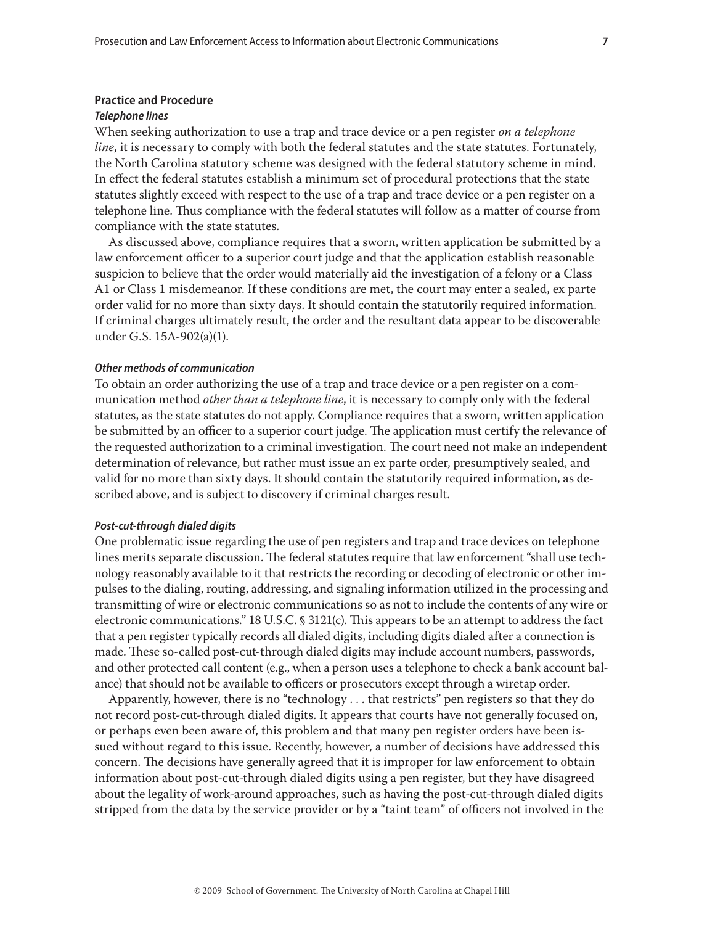#### **Practice and Procedure**

#### *Telephone lines*

When seeking authorization to use a trap and trace device or a pen register *on a telephone line*, it is necessary to comply with both the federal statutes and the state statutes. Fortunately, the North Carolina statutory scheme was designed with the federal statutory scheme in mind. In effect the federal statutes establish a minimum set of procedural protections that the state statutes slightly exceed with respect to the use of a trap and trace device or a pen register on a telephone line. Thus compliance with the federal statutes will follow as a matter of course from compliance with the state statutes.

As discussed above, compliance requires that a sworn, written application be submitted by a law enforcement officer to a superior court judge and that the application establish reasonable suspicion to believe that the order would materially aid the investigation of a felony or a Class A1 or Class 1 misdemeanor. If these conditions are met, the court may enter a sealed, ex parte order valid for no more than sixty days. It should contain the statutorily required information. If criminal charges ultimately result, the order and the resultant data appear to be discoverable under G.S. 15A-902(a)(1).

#### *Other methods of communication*

To obtain an order authorizing the use of a trap and trace device or a pen register on a communication method *other than a telephone line*, it is necessary to comply only with the federal statutes, as the state statutes do not apply. Compliance requires that a sworn, written application be submitted by an officer to a superior court judge. The application must certify the relevance of the requested authorization to a criminal investigation. The court need not make an independent determination of relevance, but rather must issue an ex parte order, presumptively sealed, and valid for no more than sixty days. It should contain the statutorily required information, as described above, and is subject to discovery if criminal charges result.

#### *Post-cut-through dialed digits*

One problematic issue regarding the use of pen registers and trap and trace devices on telephone lines merits separate discussion. The federal statutes require that law enforcement "shall use technology reasonably available to it that restricts the recording or decoding of electronic or other impulses to the dialing, routing, addressing, and signaling information utilized in the processing and transmitting of wire or electronic communications so as not to include the contents of any wire or electronic communications." 18 U.S.C. § 3121(c). This appears to be an attempt to address the fact that a pen register typically records all dialed digits, including digits dialed after a connection is made. These so-called post-cut-through dialed digits may include account numbers, passwords, and other protected call content (e.g., when a person uses a telephone to check a bank account balance) that should not be available to officers or prosecutors except through a wiretap order.

Apparently, however, there is no "technology . . . that restricts" pen registers so that they do not record post-cut-through dialed digits. It appears that courts have not generally focused on, or perhaps even been aware of, this problem and that many pen register orders have been issued without regard to this issue. Recently, however, a number of decisions have addressed this concern. The decisions have generally agreed that it is improper for law enforcement to obtain information about post-cut-through dialed digits using a pen register, but they have disagreed about the legality of work-around approaches, such as having the post-cut-through dialed digits stripped from the data by the service provider or by a "taint team" of officers not involved in the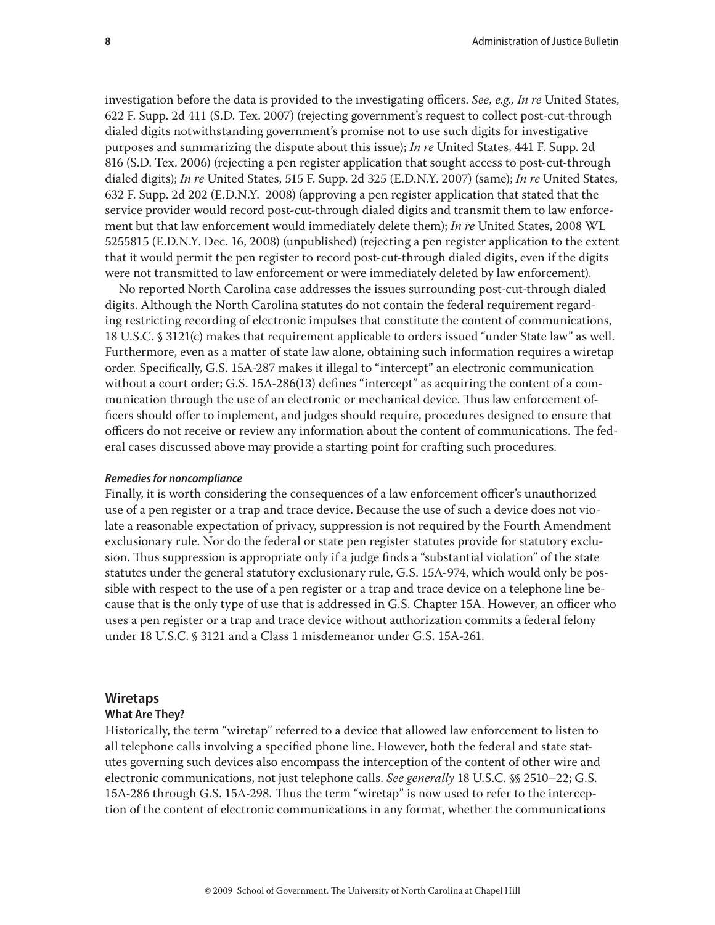investigation before the data is provided to the investigating officers. *See, e.g., In re* United States, 622 F. Supp. 2d 411 (S.D. Tex. 2007) (rejecting government's request to collect post-cut-through dialed digits notwithstanding government's promise not to use such digits for investigative purposes and summarizing the dispute about this issue); *In re* United States, 441 F. Supp. 2d 816 (S.D. Tex. 2006) (rejecting a pen register application that sought access to post-cut-through dialed digits); *In re* United States, 515 F. Supp. 2d 325 (E.D.N.Y. 2007) (same); *In re* United States, 632 F. Supp. 2d 202 (E.D.N.Y. 2008) (approving a pen register application that stated that the service provider would record post-cut-through dialed digits and transmit them to law enforcement but that law enforcement would immediately delete them); *In re* United States, 2008 WL 5255815 (E.D.N.Y. Dec. 16, 2008) (unpublished) (rejecting a pen register application to the extent that it would permit the pen register to record post-cut-through dialed digits, even if the digits

were not transmitted to law enforcement or were immediately deleted by law enforcement). No reported North Carolina case addresses the issues surrounding post-cut-through dialed digits. Although the North Carolina statutes do not contain the federal requirement regarding restricting recording of electronic impulses that constitute the content of communications, 18 U.S.C. § 3121(c) makes that requirement applicable to orders issued "under State law" as well. Furthermore, even as a matter of state law alone, obtaining such information requires a wiretap order*.* Specifically, G.S. 15A-287 makes it illegal to "intercept" an electronic communication without a court order; G.S. 15A-286(13) defines "intercept" as acquiring the content of a communication through the use of an electronic or mechanical device. Thus law enforcement officers should offer to implement, and judges should require, procedures designed to ensure that officers do not receive or review any information about the content of communications. The federal cases discussed above may provide a starting point for crafting such procedures.

#### *Remedies for noncompliance*

Finally, it is worth considering the consequences of a law enforcement officer's unauthorized use of a pen register or a trap and trace device. Because the use of such a device does not violate a reasonable expectation of privacy, suppression is not required by the Fourth Amendment exclusionary rule. Nor do the federal or state pen register statutes provide for statutory exclusion. Thus suppression is appropriate only if a judge finds a "substantial violation" of the state statutes under the general statutory exclusionary rule, G.S. 15A-974, which would only be possible with respect to the use of a pen register or a trap and trace device on a telephone line because that is the only type of use that is addressed in G.S. Chapter 15A. However, an officer who uses a pen register or a trap and trace device without authorization commits a federal felony under 18 U.S.C. § 3121 and a Class 1 misdemeanor under G.S. 15A-261.

#### **Wiretaps**

#### **What Are They?**

Historically, the term "wiretap" referred to a device that allowed law enforcement to listen to all telephone calls involving a specified phone line. However, both the federal and state statutes governing such devices also encompass the interception of the content of other wire and electronic communications, not just telephone calls. *See generally* 18 U.S.C. §§ 2510–22; G.S. 15A-286 through G.S. 15A-298*.* Thus the term "wiretap" is now used to refer to the interception of the content of electronic communications in any format, whether the communications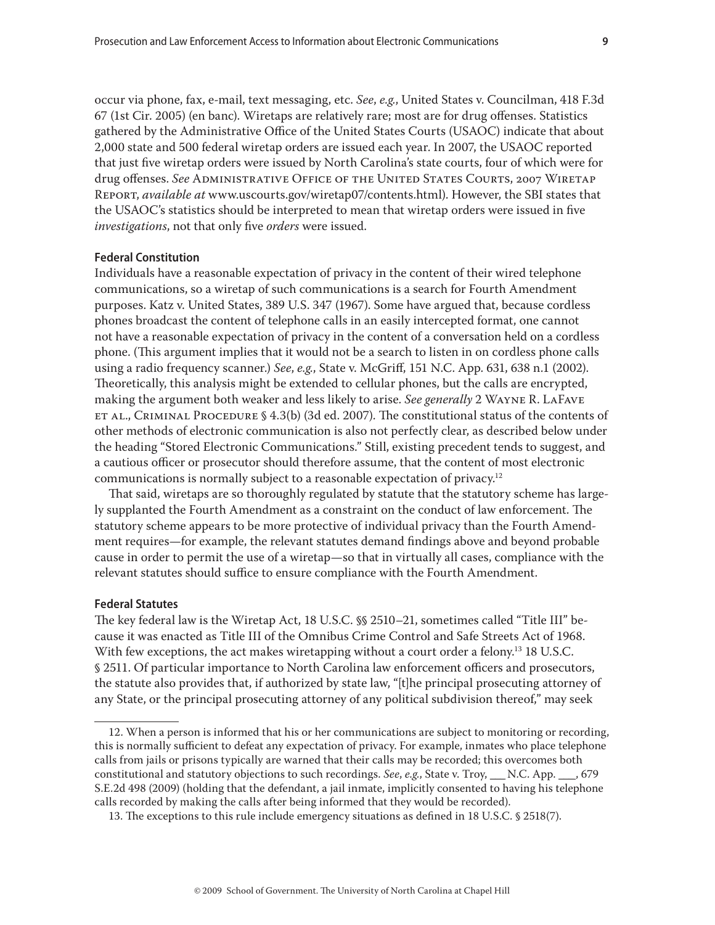occur via phone, fax, e-mail, text messaging, etc. *See*, *e.g.*, United States v. Councilman, 418 F.3d 67 (1st Cir. 2005) (en banc). Wiretaps are relatively rare; most are for drug offenses. Statistics gathered by the Administrative Office of the United States Courts (USAOC) indicate that about 2,000 state and 500 federal wiretap orders are issued each year. In 2007, the USAOC reported that just five wiretap orders were issued by North Carolina's state courts, four of which were for drug offenses. *See* Administrative Office of the United States Courts, 2007 Wiretap Report, *available at* www.uscourts.gov/wiretap07/contents.html). However, the SBI states that the USAOC's statistics should be interpreted to mean that wiretap orders were issued in five *investigations*, not that only five *orders* were issued.

# **Federal Constitution**

Individuals have a reasonable expectation of privacy in the content of their wired telephone communications, so a wiretap of such communications is a search for Fourth Amendment purposes. Katz v. United States, 389 U.S. 347 (1967). Some have argued that, because cordless phones broadcast the content of telephone calls in an easily intercepted format, one cannot not have a reasonable expectation of privacy in the content of a conversation held on a cordless phone. (This argument implies that it would not be a search to listen in on cordless phone calls using a radio frequency scanner.) *See*, *e.g.*, State v. McGriff, 151 N.C. App. 631, 638 n.1 (2002). Theoretically, this analysis might be extended to cellular phones, but the calls are encrypted, making the argument both weaker and less likely to arise. *See generally* 2 Wayne R. LaFave ET AL., CRIMINAL PROCEDURE § 4.3(b) (3d ed. 2007). The constitutional status of the contents of other methods of electronic communication is also not perfectly clear, as described below under the heading "Stored Electronic Communications." Still, existing precedent tends to suggest, and a cautious officer or prosecutor should therefore assume, that the content of most electronic communications is normally subject to a reasonable expectation of privacy.<sup>12</sup>

That said, wiretaps are so thoroughly regulated by statute that the statutory scheme has largely supplanted the Fourth Amendment as a constraint on the conduct of law enforcement. The statutory scheme appears to be more protective of individual privacy than the Fourth Amendment requires—for example, the relevant statutes demand findings above and beyond probable cause in order to permit the use of a wiretap—so that in virtually all cases, compliance with the relevant statutes should suffice to ensure compliance with the Fourth Amendment.

#### **Federal Statutes**

The key federal law is the Wiretap Act, 18 U.S.C. §§ 2510–21, sometimes called "Title III" because it was enacted as Title III of the Omnibus Crime Control and Safe Streets Act of 1968. With few exceptions, the act makes wiretapping without a court order a felony.<sup>13</sup> 18 U.S.C. § 2511. Of particular importance to North Carolina law enforcement officers and prosecutors, the statute also provides that, if authorized by state law, "[t]he principal prosecuting attorney of any State, or the principal prosecuting attorney of any political subdivision thereof," may seek

<sup>12.</sup> When a person is informed that his or her communications are subject to monitoring or recording, this is normally sufficient to defeat any expectation of privacy. For example, inmates who place telephone calls from jails or prisons typically are warned that their calls may be recorded; this overcomes both constitutional and statutory objections to such recordings. *See*, *e.g.*, State v. Troy, \_\_\_ N.C. App. \_\_\_ , 679 S.E.2d 498 (2009) (holding that the defendant, a jail inmate, implicitly consented to having his telephone calls recorded by making the calls after being informed that they would be recorded).

<sup>13.</sup> The exceptions to this rule include emergency situations as defined in 18 U.S.C. § 2518(7).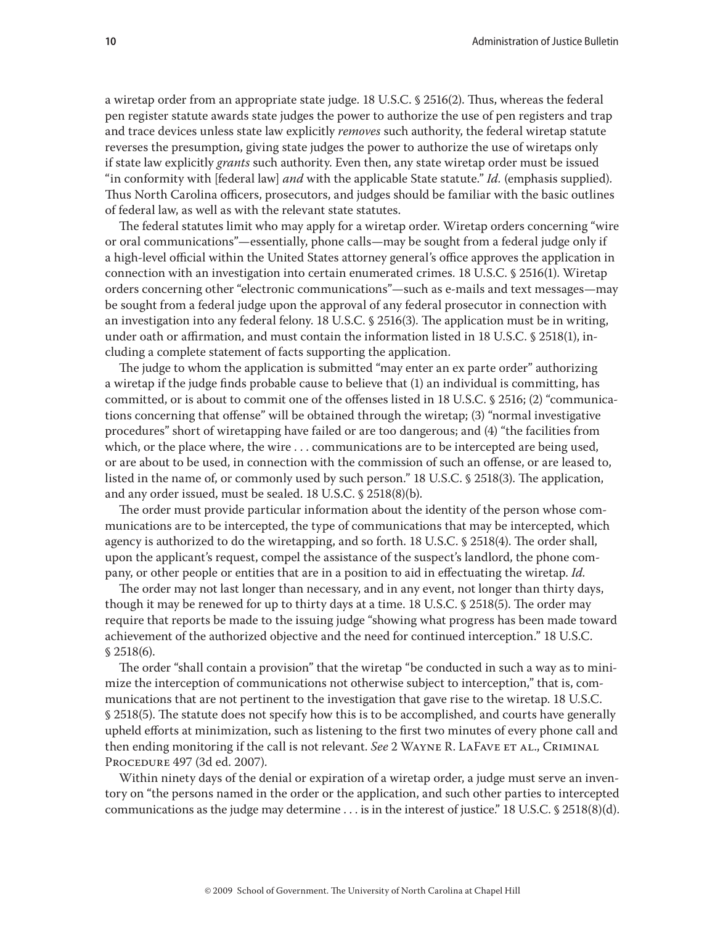a wiretap order from an appropriate state judge. 18 U.S.C. § 2516(2). Thus, whereas the federal pen register statute awards state judges the power to authorize the use of pen registers and trap and trace devices unless state law explicitly *removes* such authority, the federal wiretap statute reverses the presumption, giving state judges the power to authorize the use of wiretaps only if state law explicitly *grants* such authority. Even then, any state wiretap order must be issued "in conformity with [federal law] *and* with the applicable State statute." *Id.* (emphasis supplied). Thus North Carolina officers, prosecutors, and judges should be familiar with the basic outlines of federal law, as well as with the relevant state statutes.

The federal statutes limit who may apply for a wiretap order. Wiretap orders concerning "wire or oral communications"—essentially, phone calls—may be sought from a federal judge only if a high-level official within the United States attorney general's office approves the application in connection with an investigation into certain enumerated crimes. 18 U.S.C. § 2516(1). Wiretap orders concerning other "electronic communications"—such as e-mails and text messages—may be sought from a federal judge upon the approval of any federal prosecutor in connection with an investigation into any federal felony. 18 U.S.C. § 2516(3). The application must be in writing, under oath or affirmation, and must contain the information listed in 18 U.S.C. § 2518(1), including a complete statement of facts supporting the application.

The judge to whom the application is submitted "may enter an ex parte order" authorizing a wiretap if the judge finds probable cause to believe that (1) an individual is committing, has committed, or is about to commit one of the offenses listed in 18 U.S.C. § 2516; (2) "communications concerning that offense" will be obtained through the wiretap; (3) "normal investigative procedures" short of wiretapping have failed or are too dangerous; and (4) "the facilities from which, or the place where, the wire . . . communications are to be intercepted are being used, or are about to be used, in connection with the commission of such an offense, or are leased to, listed in the name of, or commonly used by such person." 18 U.S.C. § 2518(3). The application, and any order issued, must be sealed. 18 U.S.C. § 2518(8)(b).

The order must provide particular information about the identity of the person whose communications are to be intercepted, the type of communications that may be intercepted, which agency is authorized to do the wiretapping, and so forth. 18 U.S.C. § 2518(4). The order shall, upon the applicant's request, compel the assistance of the suspect's landlord, the phone company, or other people or entities that are in a position to aid in effectuating the wiretap. *Id.*

The order may not last longer than necessary, and in any event, not longer than thirty days, though it may be renewed for up to thirty days at a time. 18 U.S.C. § 2518(5). The order may require that reports be made to the issuing judge "showing what progress has been made toward achievement of the authorized objective and the need for continued interception." 18 U.S.C. § 2518(6).

The order "shall contain a provision" that the wiretap "be conducted in such a way as to minimize the interception of communications not otherwise subject to interception," that is, communications that are not pertinent to the investigation that gave rise to the wiretap. 18 U.S.C. § 2518(5). The statute does not specify how this is to be accomplished, and courts have generally upheld efforts at minimization, such as listening to the first two minutes of every phone call and then ending monitoring if the call is not relevant. *See* 2 WAYNE R. LAFAVE ET AL., CRIMINAL Procedure 497 (3d ed. 2007).

Within ninety days of the denial or expiration of a wiretap order, a judge must serve an inventory on "the persons named in the order or the application, and such other parties to intercepted communications as the judge may determine  $\dots$  is in the interest of justice." 18 U.S.C. § 2518(8)(d).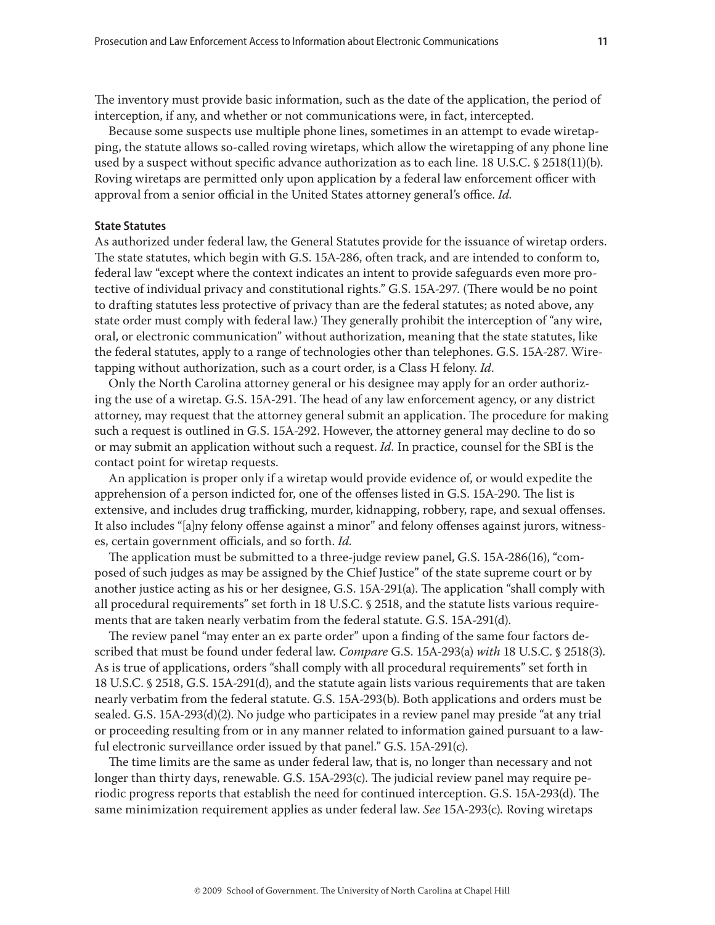The inventory must provide basic information, such as the date of the application, the period of interception, if any, and whether or not communications were, in fact, intercepted.

Because some suspects use multiple phone lines, sometimes in an attempt to evade wiretapping, the statute allows so-called roving wiretaps, which allow the wiretapping of any phone line used by a suspect without specific advance authorization as to each line. 18 U.S.C. § 2518(11)(b). Roving wiretaps are permitted only upon application by a federal law enforcement officer with approval from a senior official in the United States attorney general's office. *Id.*

#### **State Statutes**

As authorized under federal law, the General Statutes provide for the issuance of wiretap orders. The state statutes, which begin with G.S. 15A-286, often track, and are intended to conform to, federal law "except where the context indicates an intent to provide safeguards even more protective of individual privacy and constitutional rights." G.S. 15A-297. (There would be no point to drafting statutes less protective of privacy than are the federal statutes; as noted above, any state order must comply with federal law.) They generally prohibit the interception of "any wire, oral, or electronic communication" without authorization, meaning that the state statutes, like the federal statutes, apply to a range of technologies other than telephones. G.S. 15A-287. Wiretapping without authorization, such as a court order, is a Class H felony. *Id*.

Only the North Carolina attorney general or his designee may apply for an order authorizing the use of a wiretap. G.S. 15A-291. The head of any law enforcement agency, or any district attorney, may request that the attorney general submit an application. The procedure for making such a request is outlined in G.S. 15A-292. However, the attorney general may decline to do so or may submit an application without such a request. *Id.* In practice, counsel for the SBI is the contact point for wiretap requests.

An application is proper only if a wiretap would provide evidence of, or would expedite the apprehension of a person indicted for, one of the offenses listed in G.S. 15A-290. The list is extensive, and includes drug trafficking, murder, kidnapping, robbery, rape, and sexual offenses. It also includes "[a]ny felony offense against a minor" and felony offenses against jurors, witnesses, certain government officials, and so forth. *Id.*

The application must be submitted to a three-judge review panel, G.S. 15A-286(16), "composed of such judges as may be assigned by the Chief Justice" of the state supreme court or by another justice acting as his or her designee, G.S. 15A-291(a). The application "shall comply with all procedural requirements" set forth in 18 U.S.C. § 2518, and the statute lists various requirements that are taken nearly verbatim from the federal statute. G.S. 15A-291(d).

The review panel "may enter an ex parte order" upon a finding of the same four factors described that must be found under federal law. *Compare* G.S. 15A-293(a) *with* 18 U.S.C. § 2518(3). As is true of applications, orders "shall comply with all procedural requirements" set forth in 18 U.S.C. § 2518, G.S. 15A-291(d), and the statute again lists various requirements that are taken nearly verbatim from the federal statute. G.S. 15A-293(b). Both applications and orders must be sealed. G.S. 15A-293(d)(2). No judge who participates in a review panel may preside "at any trial or proceeding resulting from or in any manner related to information gained pursuant to a lawful electronic surveillance order issued by that panel." G.S. 15A-291(c).

The time limits are the same as under federal law, that is, no longer than necessary and not longer than thirty days, renewable. G.S. 15A-293(c). The judicial review panel may require periodic progress reports that establish the need for continued interception. G.S. 15A-293(d). The same minimization requirement applies as under federal law. *See* 15A-293(c)*.* Roving wiretaps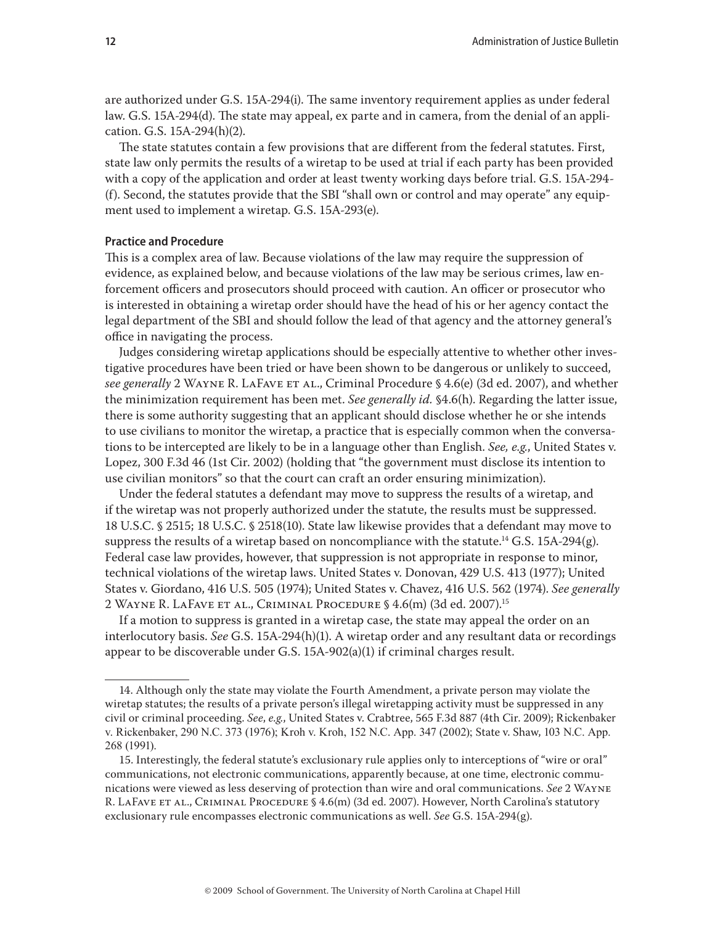are authorized under G.S. 15A-294(i). The same inventory requirement applies as under federal law. G.S. 15A-294(d). The state may appeal, ex parte and in camera, from the denial of an application. G.S. 15A-294(h)(2).

The state statutes contain a few provisions that are different from the federal statutes. First, state law only permits the results of a wiretap to be used at trial if each party has been provided with a copy of the application and order at least twenty working days before trial. G.S. 15A-294- (f). Second, the statutes provide that the SBI "shall own or control and may operate" any equipment used to implement a wiretap. G.S. 15A-293(e).

# **Practice and Procedure**

This is a complex area of law. Because violations of the law may require the suppression of evidence, as explained below, and because violations of the law may be serious crimes, law enforcement officers and prosecutors should proceed with caution. An officer or prosecutor who is interested in obtaining a wiretap order should have the head of his or her agency contact the legal department of the SBI and should follow the lead of that agency and the attorney general's office in navigating the process.

Judges considering wiretap applications should be especially attentive to whether other investigative procedures have been tried or have been shown to be dangerous or unlikely to succeed, *see generally* 2 Wayne R. LaFave et al., Criminal Procedure § 4.6(e) (3d ed. 2007), and whether the minimization requirement has been met. *See generally id.* §4.6(h). Regarding the latter issue, there is some authority suggesting that an applicant should disclose whether he or she intends to use civilians to monitor the wiretap, a practice that is especially common when the conversations to be intercepted are likely to be in a language other than English. *See, e.g.*, United States v. Lopez, 300 F.3d 46 (1st Cir. 2002) (holding that "the government must disclose its intention to use civilian monitors" so that the court can craft an order ensuring minimization).

Under the federal statutes a defendant may move to suppress the results of a wiretap, and if the wiretap was not properly authorized under the statute, the results must be suppressed. 18 U.S.C. § 2515; 18 U.S.C. § 2518(10). State law likewise provides that a defendant may move to suppress the results of a wiretap based on noncompliance with the statute.<sup>14</sup> G.S. 15A-294(g). Federal case law provides, however, that suppression is not appropriate in response to minor, technical violations of the wiretap laws. United States v. Donovan, 429 U.S. 413 (1977); United States v. Giordano, 416 U.S. 505 (1974); United States v. Chavez, 416 U.S. 562 (1974). *See generally*  2 Wayne R. LaFave et al., Criminal Procedure § 4.6(m) (3d ed. 2007).15

If a motion to suppress is granted in a wiretap case, the state may appeal the order on an interlocutory basis. *See* G.S. 15A-294(h)(1). A wiretap order and any resultant data or recordings appear to be discoverable under G.S. 15A-902(a)(1) if criminal charges result.

<sup>14.</sup> Although only the state may violate the Fourth Amendment, a private person may violate the wiretap statutes; the results of a private person's illegal wiretapping activity must be suppressed in any civil or criminal proceeding. *See*, *e.g.*, United States v. Crabtree, 565 F.3d 887 (4th Cir. 2009); Rickenbaker v. Rickenbaker, 290 N.C. 373 (1976); Kroh v. Kroh, 152 N.C. App. 347 (2002); State v. Shaw, 103 N.C. App. 268 (1991).

<sup>15.</sup> Interestingly, the federal statute's exclusionary rule applies only to interceptions of "wire or oral" communications, not electronic communications, apparently because, at one time, electronic communications were viewed as less deserving of protection than wire and oral communications. *See* 2 Wayne R. LAFAVE ET AL., CRIMINAL PROCEDURE § 4.6(m) (3d ed. 2007). However, North Carolina's statutory exclusionary rule encompasses electronic communications as well. *See* G.S. 15A-294(g).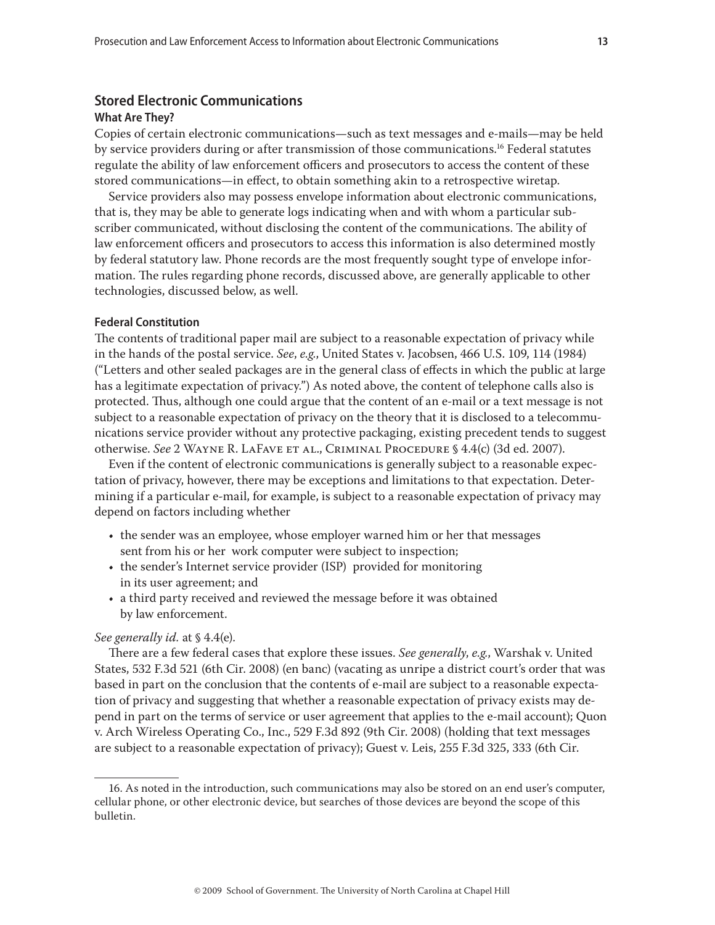# **Stored Electronic Communications**

### **What Are They?**

Copies of certain electronic communications—such as text messages and e-mails—may be held by service providers during or after transmission of those communications.<sup>16</sup> Federal statutes regulate the ability of law enforcement officers and prosecutors to access the content of these stored communications—in effect, to obtain something akin to a retrospective wiretap.

Service providers also may possess envelope information about electronic communications, that is, they may be able to generate logs indicating when and with whom a particular subscriber communicated, without disclosing the content of the communications. The ability of law enforcement officers and prosecutors to access this information is also determined mostly by federal statutory law. Phone records are the most frequently sought type of envelope information. The rules regarding phone records, discussed above, are generally applicable to other technologies, discussed below, as well.

### **Federal Constitution**

The contents of traditional paper mail are subject to a reasonable expectation of privacy while in the hands of the postal service. *See*, *e.g.*, United States v. Jacobsen, 466 U.S. 109, 114 (1984) ("Letters and other sealed packages are in the general class of effects in which the public at large has a legitimate expectation of privacy.") As noted above, the content of telephone calls also is protected. Thus, although one could argue that the content of an e-mail or a text message is not subject to a reasonable expectation of privacy on the theory that it is disclosed to a telecommunications service provider without any protective packaging, existing precedent tends to suggest otherwise. *See* 2 Wayne R. LaFave et al., Criminal Procedure § 4.4(c) (3d ed. 2007).

Even if the content of electronic communications is generally subject to a reasonable expectation of privacy, however, there may be exceptions and limitations to that expectation. Determining if a particular e-mail, for example, is subject to a reasonable expectation of privacy may depend on factors including whether

- the sender was an employee, whose employer warned him or her that messages sent from his or her work computer were subject to inspection;
- the sender's Internet service provider (ISP) provided for monitoring in its user agreement; and
- a third party received and reviewed the message before it was obtained by law enforcement.

#### *See generally id.* at § 4.4(e).

There are a few federal cases that explore these issues. *See generally*, *e.g.*, Warshak v. United States, 532 F.3d 521 (6th Cir. 2008) (en banc) (vacating as unripe a district court's order that was based in part on the conclusion that the contents of e-mail are subject to a reasonable expectation of privacy and suggesting that whether a reasonable expectation of privacy exists may depend in part on the terms of service or user agreement that applies to the e-mail account); Quon v. Arch Wireless Operating Co., Inc., 529 F.3d 892 (9th Cir. 2008) (holding that text messages are subject to a reasonable expectation of privacy); Guest v. Leis, 255 F.3d 325, 333 (6th Cir.

<sup>16.</sup> As noted in the introduction, such communications may also be stored on an end user's computer, cellular phone, or other electronic device, but searches of those devices are beyond the scope of this bulletin.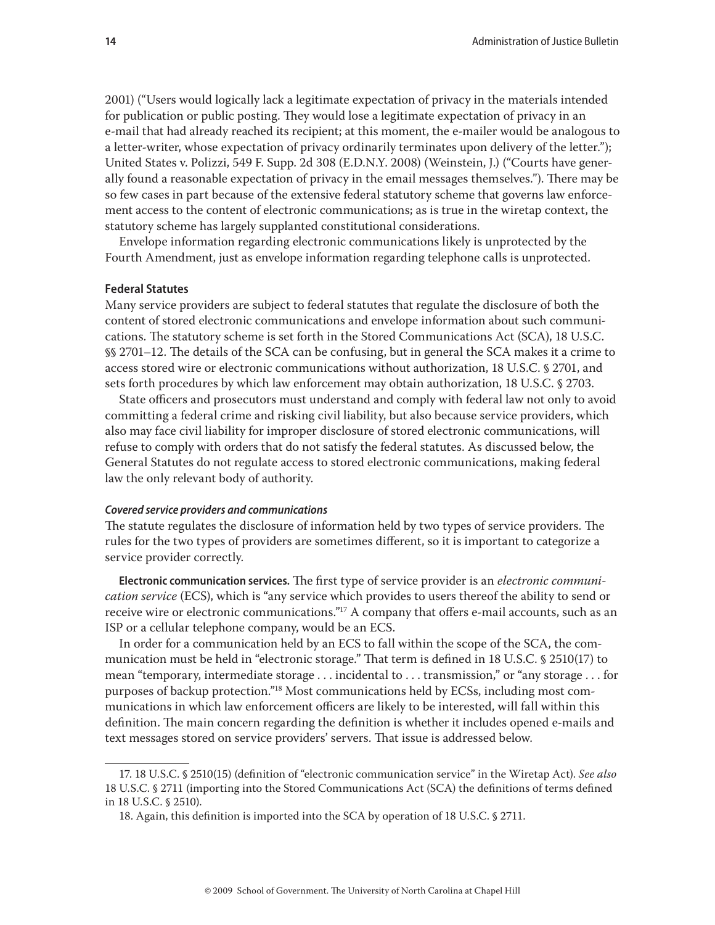2001) ("Users would logically lack a legitimate expectation of privacy in the materials intended for publication or public posting. They would lose a legitimate expectation of privacy in an e-mail that had already reached its recipient; at this moment, the e-mailer would be analogous to a letter-writer, whose expectation of privacy ordinarily terminates upon delivery of the letter."); United States v. Polizzi, 549 F. Supp. 2d 308 (E.D.N.Y. 2008) (Weinstein, J.) ("Courts have generally found a reasonable expectation of privacy in the email messages themselves."). There may be so few cases in part because of the extensive federal statutory scheme that governs law enforcement access to the content of electronic communications; as is true in the wiretap context, the statutory scheme has largely supplanted constitutional considerations.

Envelope information regarding electronic communications likely is unprotected by the Fourth Amendment, just as envelope information regarding telephone calls is unprotected.

#### **Federal Statutes**

Many service providers are subject to federal statutes that regulate the disclosure of both the content of stored electronic communications and envelope information about such communications. The statutory scheme is set forth in the Stored Communications Act (SCA), 18 U.S.C. §§ 2701–12. The details of the SCA can be confusing, but in general the SCA makes it a crime to access stored wire or electronic communications without authorization, 18 U.S.C. § 2701, and sets forth procedures by which law enforcement may obtain authorization, 18 U.S.C. § 2703.

State officers and prosecutors must understand and comply with federal law not only to avoid committing a federal crime and risking civil liability, but also because service providers, which also may face civil liability for improper disclosure of stored electronic communications, will refuse to comply with orders that do not satisfy the federal statutes. As discussed below, the General Statutes do not regulate access to stored electronic communications, making federal law the only relevant body of authority.

#### *Covered service providers and communications*

The statute regulates the disclosure of information held by two types of service providers. The rules for the two types of providers are sometimes different, so it is important to categorize a service provider correctly.

**Electronic communication services.** The first type of service provider is an *electronic communication service* (ECS), which is "any service which provides to users thereof the ability to send or receive wire or electronic communications."17 A company that offers e-mail accounts, such as an ISP or a cellular telephone company, would be an ECS.

In order for a communication held by an ECS to fall within the scope of the SCA, the communication must be held in "electronic storage." That term is defined in 18 U.S.C. § 2510(17) to mean "temporary, intermediate storage . . . incidental to . . . transmission," or "any storage . . . for purposes of backup protection."18 Most communications held by ECSs, including most communications in which law enforcement officers are likely to be interested, will fall within this definition. The main concern regarding the definition is whether it includes opened e-mails and text messages stored on service providers' servers. That issue is addressed below.

<sup>17. 18</sup> U.S.C. § 2510(15) (definition of "electronic communication service" in the Wiretap Act). *See also* 18 U.S.C. § 2711 (importing into the Stored Communications Act (SCA) the definitions of terms defined in 18 U.S.C. § 2510).

<sup>18.</sup> Again, this definition is imported into the SCA by operation of 18 U.S.C. § 2711.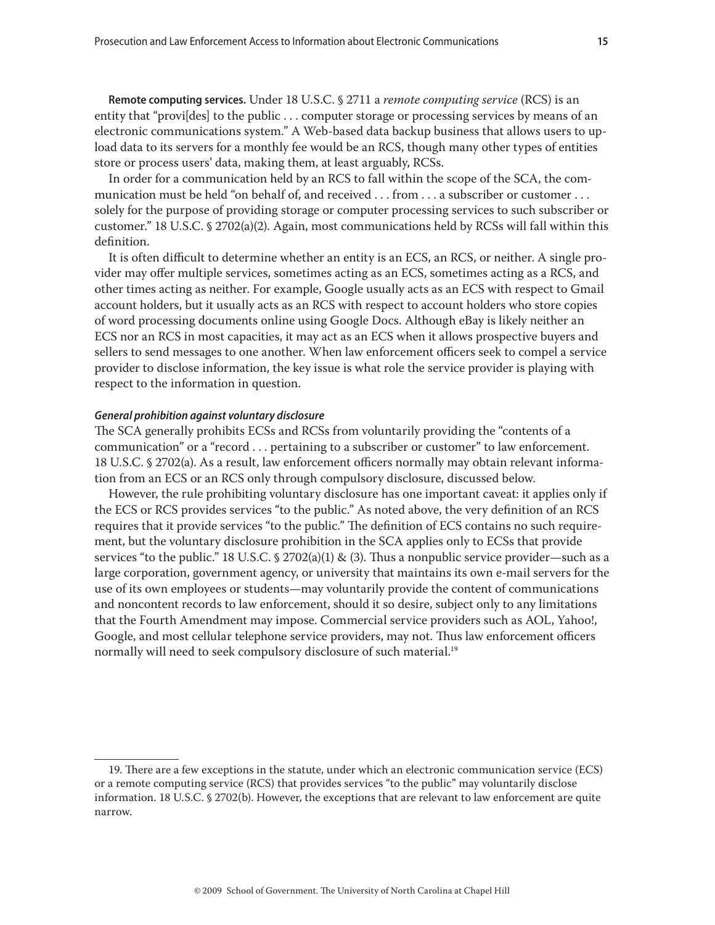**Remote computing services.** Under 18 U.S.C. § 2711 a *remote computing service* (RCS) is an entity that "provi[des] to the public . . . computer storage or processing services by means of an electronic communications system." A Web-based data backup business that allows users to upload data to its servers for a monthly fee would be an RCS, though many other types of entities store or process users' data, making them, at least arguably, RCSs.

In order for a communication held by an RCS to fall within the scope of the SCA, the communication must be held "on behalf of, and received . . . from . . . a subscriber or customer . . . solely for the purpose of providing storage or computer processing services to such subscriber or customer." 18 U.S.C. § 2702(a)(2). Again, most communications held by RCSs will fall within this definition.

It is often difficult to determine whether an entity is an ECS, an RCS, or neither. A single provider may offer multiple services, sometimes acting as an ECS, sometimes acting as a RCS, and other times acting as neither. For example, Google usually acts as an ECS with respect to Gmail account holders, but it usually acts as an RCS with respect to account holders who store copies of word processing documents online using Google Docs. Although eBay is likely neither an ECS nor an RCS in most capacities, it may act as an ECS when it allows prospective buyers and sellers to send messages to one another. When law enforcement officers seek to compel a service provider to disclose information, the key issue is what role the service provider is playing with respect to the information in question.

#### *General prohibition against voluntary disclosure*

The SCA generally prohibits ECSs and RCSs from voluntarily providing the "contents of a communication" or a "record . . . pertaining to a subscriber or customer" to law enforcement. 18 U.S.C. § 2702(a). As a result, law enforcement officers normally may obtain relevant information from an ECS or an RCS only through compulsory disclosure, discussed below.

However, the rule prohibiting voluntary disclosure has one important caveat: it applies only if the ECS or RCS provides services "to the public." As noted above, the very definition of an RCS requires that it provide services "to the public." The definition of ECS contains no such requirement, but the voluntary disclosure prohibition in the SCA applies only to ECSs that provide services "to the public." 18 U.S.C.  $\frac{2702(a)(1) \& (3)}{1}$ . Thus a nonpublic service provider—such as a large corporation, government agency, or university that maintains its own e-mail servers for the use of its own employees or students—may voluntarily provide the content of communications and noncontent records to law enforcement, should it so desire, subject only to any limitations that the Fourth Amendment may impose. Commercial service providers such as AOL, Yahoo!, Google, and most cellular telephone service providers, may not. Thus law enforcement officers normally will need to seek compulsory disclosure of such material.<sup>19</sup>

<sup>19.</sup> There are a few exceptions in the statute, under which an electronic communication service (ECS) or a remote computing service (RCS) that provides services "to the public" may voluntarily disclose information. 18 U.S.C. § 2702(b). However, the exceptions that are relevant to law enforcement are quite narrow.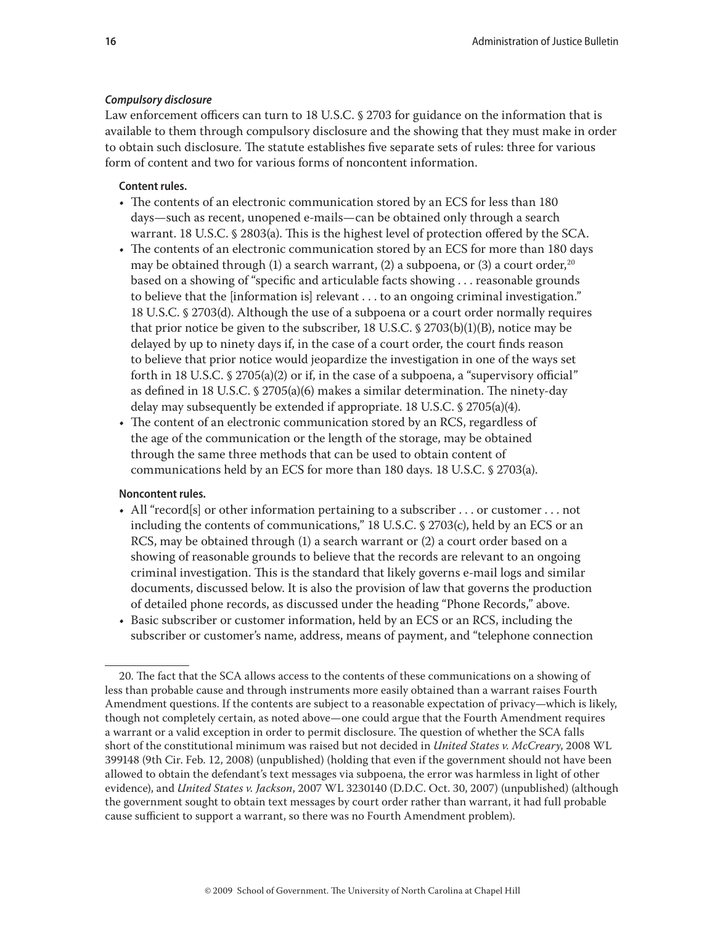#### *Compulsory disclosure*

Law enforcement officers can turn to 18 U.S.C. § 2703 for guidance on the information that is available to them through compulsory disclosure and the showing that they must make in order to obtain such disclosure. The statute establishes five separate sets of rules: three for various form of content and two for various forms of noncontent information.

# **Content rules.**

- The contents of an electronic communication stored by an ECS for less than 180 days—such as recent, unopened e-mails—can be obtained only through a search warrant. 18 U.S.C. § 2803(a). This is the highest level of protection offered by the SCA.
- The contents of an electronic communication stored by an ECS for more than 180 days may be obtained through (1) a search warrant, (2) a subpoena, or (3) a court order,<sup>20</sup> based on a showing of "specific and articulable facts showing . . . reasonable grounds to believe that the [information is] relevant . . . to an ongoing criminal investigation." 18 U.S.C. § 2703(d). Although the use of a subpoena or a court order normally requires that prior notice be given to the subscriber, 18 U.S.C.  $\frac{6}{2703(b)(1)(B)}$ , notice may be delayed by up to ninety days if, in the case of a court order, the court finds reason to believe that prior notice would jeopardize the investigation in one of the ways set forth in 18 U.S.C.  $\frac{6}{2705(a)(2)}$  or if, in the case of a subpoena, a "supervisory official" as defined in 18 U.S.C. § 2705(a)(6) makes a similar determination. The ninety-day delay may subsequently be extended if appropriate. 18 U.S.C. § 2705(a)(4).
- The content of an electronic communication stored by an RCS, regardless of the age of the communication or the length of the storage, may be obtained through the same three methods that can be used to obtain content of communications held by an ECS for more than 180 days. 18 U.S.C. § 2703(a).

# **Noncontent rules.**

- All "record[s] or other information pertaining to a subscriber . . . or customer . . . not including the contents of communications," 18 U.S.C. § 2703(c), held by an ECS or an RCS, may be obtained through (1) a search warrant or (2) a court order based on a showing of reasonable grounds to believe that the records are relevant to an ongoing criminal investigation. This is the standard that likely governs e-mail logs and similar documents, discussed below. It is also the provision of law that governs the production of detailed phone records, as discussed under the heading "Phone Records," above.
- Basic subscriber or customer information, held by an ECS or an RCS, including the subscriber or customer's name, address, means of payment, and "telephone connection

<sup>20.</sup> The fact that the SCA allows access to the contents of these communications on a showing of less than probable cause and through instruments more easily obtained than a warrant raises Fourth Amendment questions. If the contents are subject to a reasonable expectation of privacy—which is likely, though not completely certain, as noted above—one could argue that the Fourth Amendment requires a warrant or a valid exception in order to permit disclosure. The question of whether the SCA falls short of the constitutional minimum was raised but not decided in *United States v. McCreary*, 2008 WL 399148 (9th Cir. Feb. 12, 2008) (unpublished) (holding that even if the government should not have been allowed to obtain the defendant's text messages via subpoena, the error was harmless in light of other evidence), and *United States v. Jackson*, 2007 WL 3230140 (D.D.C. Oct. 30, 2007) (unpublished) (although the government sought to obtain text messages by court order rather than warrant, it had full probable cause sufficient to support a warrant, so there was no Fourth Amendment problem).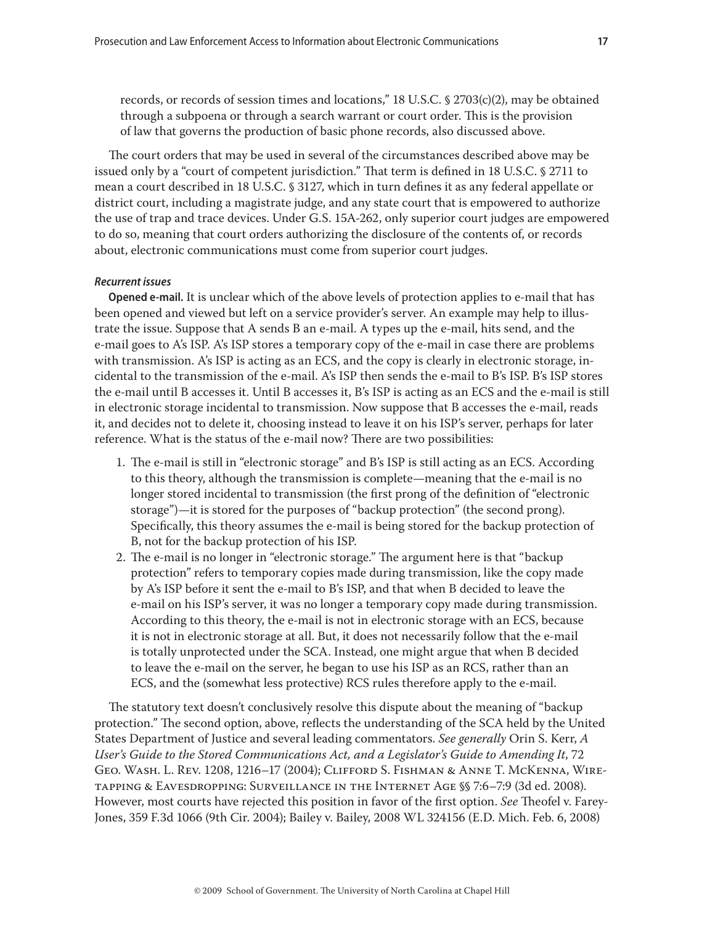through a subpoena or through a search warrant or court order. This is the provision of law that governs the production of basic phone records, also discussed above.

The court orders that may be used in several of the circumstances described above may be issued only by a "court of competent jurisdiction." That term is defined in 18 U.S.C. § 2711 to mean a court described in 18 U.S.C. § 3127, which in turn defines it as any federal appellate or district court, including a magistrate judge, and any state court that is empowered to authorize the use of trap and trace devices. Under G.S. 15A-262, only superior court judges are empowered to do so, meaning that court orders authorizing the disclosure of the contents of, or records about, electronic communications must come from superior court judges.

# *Recurrent issues*

**Opened e-mail.** It is unclear which of the above levels of protection applies to e-mail that has been opened and viewed but left on a service provider's server. An example may help to illustrate the issue. Suppose that A sends B an e-mail. A types up the e-mail, hits send, and the e-mail goes to A's ISP. A's ISP stores a temporary copy of the e-mail in case there are problems with transmission. A's ISP is acting as an ECS, and the copy is clearly in electronic storage, incidental to the transmission of the e-mail. A's ISP then sends the e-mail to B's ISP. B's ISP stores the e-mail until B accesses it. Until B accesses it, B's ISP is acting as an ECS and the e-mail is still in electronic storage incidental to transmission. Now suppose that B accesses the e-mail, reads it, and decides not to delete it, choosing instead to leave it on his ISP's server, perhaps for later reference. What is the status of the e-mail now? There are two possibilities:

- 1. The e-mail is still in "electronic storage" and B's ISP is still acting as an ECS. According to this theory, although the transmission is complete—meaning that the e-mail is no longer stored incidental to transmission (the first prong of the definition of "electronic storage")—it is stored for the purposes of "backup protection" (the second prong). Specifically, this theory assumes the e-mail is being stored for the backup protection of B, not for the backup protection of his ISP.
- 2. The e-mail is no longer in "electronic storage." The argument here is that "backup protection" refers to temporary copies made during transmission, like the copy made by A's ISP before it sent the e-mail to B's ISP, and that when B decided to leave the e-mail on his ISP's server, it was no longer a temporary copy made during transmission. According to this theory, the e-mail is not in electronic storage with an ECS, because it is not in electronic storage at all. But, it does not necessarily follow that the e-mail is totally unprotected under the SCA. Instead, one might argue that when B decided to leave the e-mail on the server, he began to use his ISP as an RCS, rather than an ECS, and the (somewhat less protective) RCS rules therefore apply to the e-mail.

The statutory text doesn't conclusively resolve this dispute about the meaning of "backup protection." The second option, above, reflects the understanding of the SCA held by the United States Department of Justice and several leading commentators. *See generally* Orin S. Kerr, *A User's Guide to the Stored Communications Act, and a Legislator's Guide to Amending It*, 72 Geo. Wash. L. Rev. 1208, 1216–17 (2004); Clifford S. Fishman & Anne T. McKenna, Wiretapping & Eavesdropping: Surveillance in the Internet Age §§ 7:6–7:9 (3d ed. 2008). However, most courts have rejected this position in favor of the first option. *See* Theofel v. Farey-Jones, 359 F.3d 1066 (9th Cir. 2004); Bailey v. Bailey, 2008 WL 324156 (E.D. Mich. Feb. 6, 2008)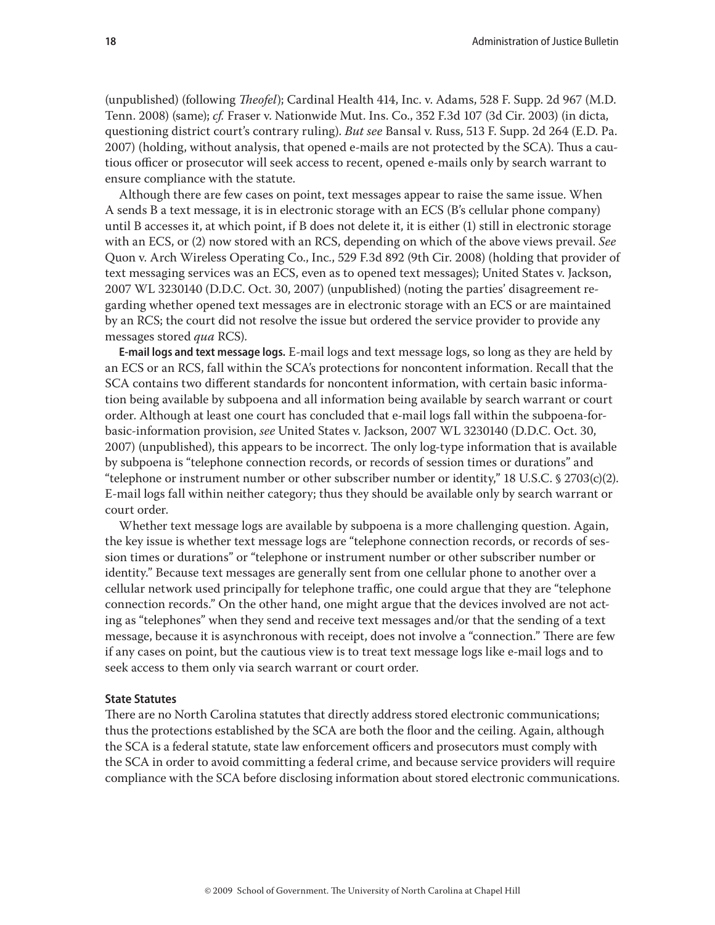(unpublished) (following *Theofel*); Cardinal Health 414, Inc. v. Adams, 528 F. Supp. 2d 967 (M.D. Tenn. 2008) (same); *cf.* Fraser v. Nationwide Mut. Ins. Co., 352 F.3d 107 (3d Cir. 2003) (in dicta, questioning district court's contrary ruling). *But see* Bansal v. Russ, 513 F. Supp. 2d 264 (E.D. Pa. 2007) (holding, without analysis, that opened e-mails are not protected by the SCA). Thus a cautious officer or prosecutor will seek access to recent, opened e-mails only by search warrant to ensure compliance with the statute.

Although there are few cases on point, text messages appear to raise the same issue. When A sends B a text message, it is in electronic storage with an ECS (B's cellular phone company) until B accesses it, at which point, if B does not delete it, it is either (1) still in electronic storage with an ECS, or (2) now stored with an RCS, depending on which of the above views prevail. *See*  Quon v. Arch Wireless Operating Co., Inc*.*, 529 F.3d 892 (9th Cir. 2008) (holding that provider of text messaging services was an ECS, even as to opened text messages); United States v. Jackson, 2007 WL 3230140 (D.D.C. Oct. 30, 2007) (unpublished) (noting the parties' disagreement regarding whether opened text messages are in electronic storage with an ECS or are maintained by an RCS; the court did not resolve the issue but ordered the service provider to provide any messages stored *qua* RCS).

**E-mail logs and text message logs.** E-mail logs and text message logs, so long as they are held by an ECS or an RCS, fall within the SCA's protections for noncontent information. Recall that the SCA contains two different standards for noncontent information, with certain basic information being available by subpoena and all information being available by search warrant or court order. Although at least one court has concluded that e-mail logs fall within the subpoena-forbasic-information provision, *see* United States v. Jackson, 2007 WL 3230140 (D.D.C. Oct. 30, 2007) (unpublished), this appears to be incorrect. The only log-type information that is available by subpoena is "telephone connection records, or records of session times or durations" and "telephone or instrument number or other subscriber number or identity," 18 U.S.C. § 2703(c)(2). E-mail logs fall within neither category; thus they should be available only by search warrant or court order.

Whether text message logs are available by subpoena is a more challenging question. Again, the key issue is whether text message logs are "telephone connection records, or records of session times or durations" or "telephone or instrument number or other subscriber number or identity." Because text messages are generally sent from one cellular phone to another over a cellular network used principally for telephone traffic, one could argue that they are "telephone connection records." On the other hand, one might argue that the devices involved are not acting as "telephones" when they send and receive text messages and/or that the sending of a text message, because it is asynchronous with receipt, does not involve a "connection." There are few if any cases on point, but the cautious view is to treat text message logs like e-mail logs and to seek access to them only via search warrant or court order.

#### **State Statutes**

There are no North Carolina statutes that directly address stored electronic communications; thus the protections established by the SCA are both the floor and the ceiling. Again, although the SCA is a federal statute, state law enforcement officers and prosecutors must comply with the SCA in order to avoid committing a federal crime, and because service providers will require compliance with the SCA before disclosing information about stored electronic communications.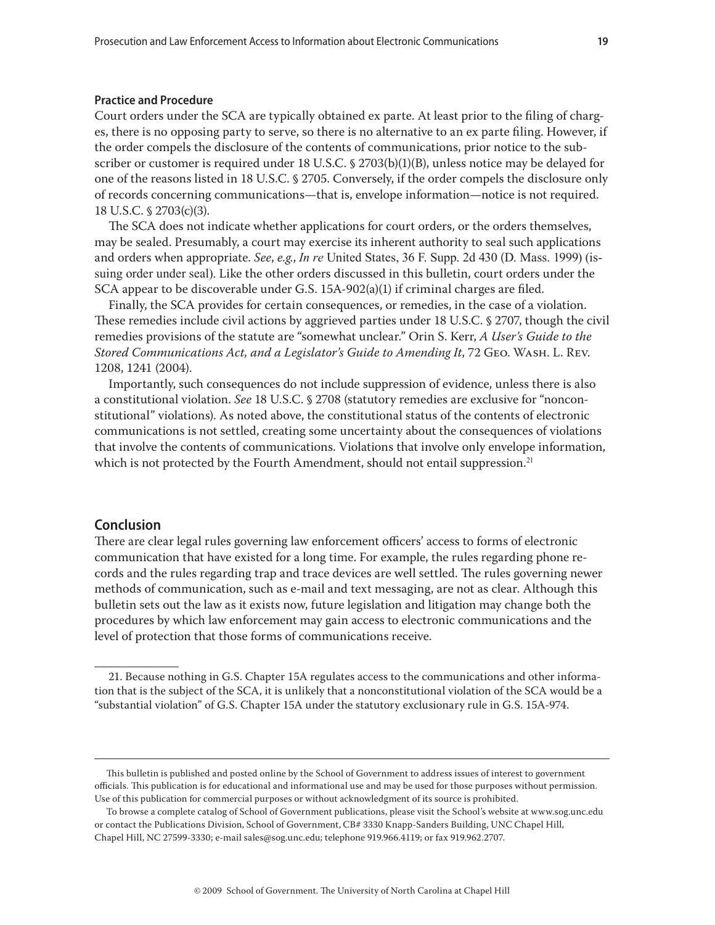#### **Practice and Procedure**

Court orders under the SCA are typically obtained ex parte. At least prior to the filing of charges, there is no opposing party to serve, so there is no alternative to an ex parte filing. However, if the order compels the disclosure of the contents of communications, prior notice to the subscriber or customer is required under 18 U.S.C. § 2703(b)(1)(B), unless notice may be delayed for one of the reasons listed in 18 U.S.C. § 2705. Conversely, if the order compels the disclosure only of records concerning communications—that is, envelope information—notice is not required. 18 U.S.C. § 2703(c)(3).

The SCA does not indicate whether applications for court orders, or the orders themselves, may be sealed. Presumably, a court may exercise its inherent authority to seal such applications and orders when appropriate. *See*, *e.g.*, *In re* United States, 36 F. Supp. 2d 430 (D. Mass. 1999) (issuing order under seal). Like the other orders discussed in this bulletin, court orders under the SCA appear to be discoverable under G.S. 15A-902(a)(1) if criminal charges are filed.

Finally, the SCA provides for certain consequences, or remedies, in the case of a violation. These remedies include civil actions by aggrieved parties under 18 U.S.C. § 2707, though the civil remedies provisions of the statute are "somewhat unclear." Orin S. Kerr, *A User's Guide to the Stored Communications Act, and a Legislator's Guide to Amending It*, 72 Geo. Wash. L. Rev. 1208, 1241 (2004).

Importantly, such consequences do not include suppression of evidence, unless there is also a constitutional violation. *See* 18 U.S.C. § 2708 (statutory remedies are exclusive for "nonconstitutional" violations). As noted above, the constitutional status of the contents of electronic communications is not settled, creating some uncertainty about the consequences of violations that involve the contents of communications. Violations that involve only envelope information, which is not protected by the Fourth Amendment, should not entail suppression.<sup>21</sup>

# **Conclusion**

There are clear legal rules governing law enforcement officers' access to forms of electronic communication that have existed for a long time. For example, the rules regarding phone records and the rules regarding trap and trace devices are well settled. The rules governing newer methods of communication, such as e-mail and text messaging, are not as clear. Although this bulletin sets out the law as it exists now, future legislation and litigation may change both the procedures by which law enforcement may gain access to electronic communications and the level of protection that those forms of communications receive.

<sup>21.</sup> Because nothing in G.S. Chapter 15A regulates access to the communications and other information that is the subject of the SCA, it is unlikely that a nonconstitutional violation of the SCA would be a "substantial violation" of G.S. Chapter 15A under the statutory exclusionary rule in G.S. 15A-974.

This bulletin is published and posted online by the School of Government to address issues of interest to government officials. This publication is for educational and informational use and may be used for those purposes without permission. Use of this publication for commercial purposes or without acknowledgment of its source is prohibited.

To browse a complete catalog of School of Government publications, please visit the School's website at www.sog.unc.edu or contact the Publications Division, School of Government, CB# 3330 Knapp-Sanders Building, UNC Chapel Hill, Chapel Hill, NC 27599-3330; e-mail sales@sog.unc.edu; telephone 919.966.4119; or fax 919.962.2707.